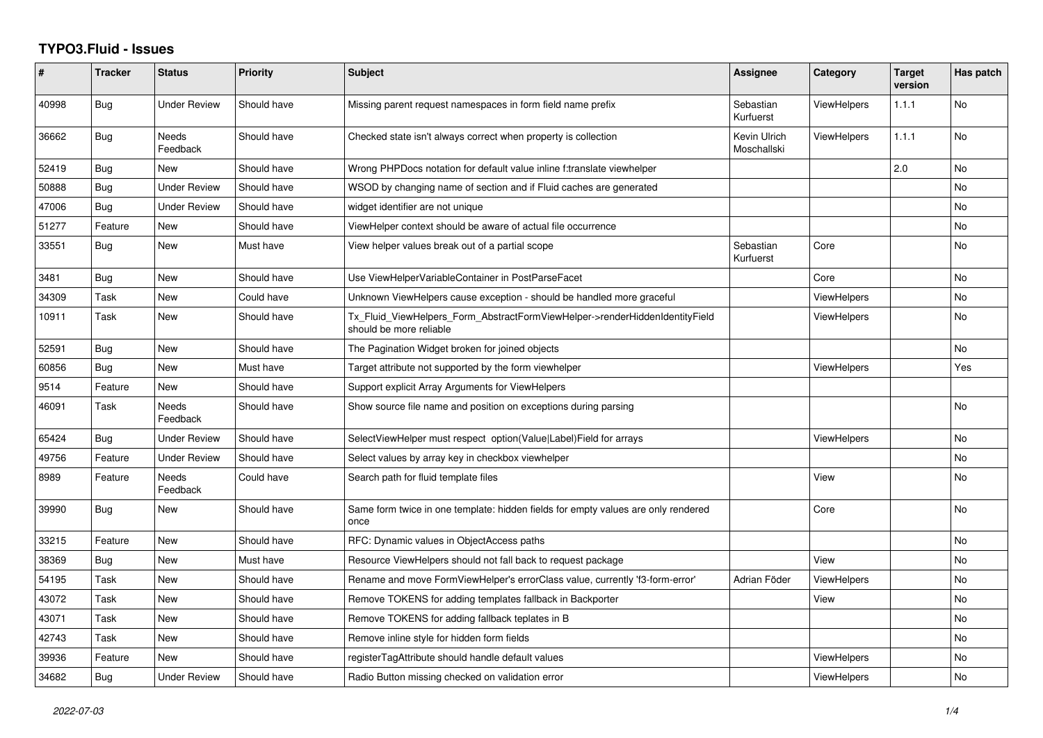## **TYPO3.Fluid - Issues**

| ∦     | <b>Tracker</b> | <b>Status</b>            | <b>Priority</b> | Subject                                                                                                | Assignee                    | Category           | <b>Target</b><br>version | Has patch |
|-------|----------------|--------------------------|-----------------|--------------------------------------------------------------------------------------------------------|-----------------------------|--------------------|--------------------------|-----------|
| 40998 | <b>Bug</b>     | <b>Under Review</b>      | Should have     | Missing parent request namespaces in form field name prefix                                            | Sebastian<br>Kurfuerst      | ViewHelpers        | 1.1.1                    | No        |
| 36662 | Bug            | Needs<br>Feedback        | Should have     | Checked state isn't always correct when property is collection                                         | Kevin Ulrich<br>Moschallski | <b>ViewHelpers</b> | 1.1.1                    | No        |
| 52419 | Bug            | <b>New</b>               | Should have     | Wrong PHPDocs notation for default value inline f:translate viewhelper                                 |                             |                    | 2.0                      | No        |
| 50888 | Bug            | <b>Under Review</b>      | Should have     | WSOD by changing name of section and if Fluid caches are generated                                     |                             |                    |                          | No        |
| 47006 | Bug            | <b>Under Review</b>      | Should have     | widget identifier are not unique                                                                       |                             |                    |                          | No        |
| 51277 | Feature        | <b>New</b>               | Should have     | ViewHelper context should be aware of actual file occurrence                                           |                             |                    |                          | No        |
| 33551 | <b>Bug</b>     | <b>New</b>               | Must have       | View helper values break out of a partial scope                                                        | Sebastian<br>Kurfuerst      | Core               |                          | No        |
| 3481  | <b>Bug</b>     | <b>New</b>               | Should have     | Use ViewHelperVariableContainer in PostParseFacet                                                      |                             | Core               |                          | No.       |
| 34309 | Task           | New                      | Could have      | Unknown ViewHelpers cause exception - should be handled more graceful                                  |                             | <b>ViewHelpers</b> |                          | No        |
| 10911 | Task           | New                      | Should have     | Tx_Fluid_ViewHelpers_Form_AbstractFormViewHelper->renderHiddenIdentityField<br>should be more reliable |                             | <b>ViewHelpers</b> |                          | No        |
| 52591 | Bug            | <b>New</b>               | Should have     | The Pagination Widget broken for joined objects                                                        |                             |                    |                          | No        |
| 60856 | <b>Bug</b>     | New                      | Must have       | Target attribute not supported by the form viewhelper                                                  |                             | <b>ViewHelpers</b> |                          | Yes       |
| 9514  | Feature        | New                      | Should have     | Support explicit Array Arguments for ViewHelpers                                                       |                             |                    |                          |           |
| 46091 | Task           | <b>Needs</b><br>Feedback | Should have     | Show source file name and position on exceptions during parsing                                        |                             |                    |                          | No        |
| 65424 | <b>Bug</b>     | <b>Under Review</b>      | Should have     | SelectViewHelper must respect option(Value Label)Field for arrays                                      |                             | <b>ViewHelpers</b> |                          | No        |
| 49756 | Feature        | <b>Under Review</b>      | Should have     | Select values by array key in checkbox viewhelper                                                      |                             |                    |                          | No        |
| 8989  | Feature        | <b>Needs</b><br>Feedback | Could have      | Search path for fluid template files                                                                   |                             | View               |                          | No        |
| 39990 | <b>Bug</b>     | New                      | Should have     | Same form twice in one template: hidden fields for empty values are only rendered<br>once              |                             | Core               |                          | No        |
| 33215 | Feature        | New                      | Should have     | RFC: Dynamic values in ObjectAccess paths                                                              |                             |                    |                          | No        |
| 38369 | Bug            | New                      | Must have       | Resource ViewHelpers should not fall back to request package                                           |                             | View               |                          | No        |
| 54195 | Task           | New                      | Should have     | Rename and move FormViewHelper's errorClass value, currently 'f3-form-error'                           | Adrian Föder                | ViewHelpers        |                          | No        |
| 43072 | Task           | New                      | Should have     | Remove TOKENS for adding templates fallback in Backporter                                              |                             | View               |                          | No        |
| 43071 | Task           | New                      | Should have     | Remove TOKENS for adding fallback teplates in B                                                        |                             |                    |                          | No        |
| 42743 | Task           | New                      | Should have     | Remove inline style for hidden form fields                                                             |                             |                    |                          | No        |
| 39936 | Feature        | <b>New</b>               | Should have     | registerTagAttribute should handle default values                                                      |                             | <b>ViewHelpers</b> |                          | No        |
| 34682 | Bug            | <b>Under Review</b>      | Should have     | Radio Button missing checked on validation error                                                       |                             | <b>ViewHelpers</b> |                          | No        |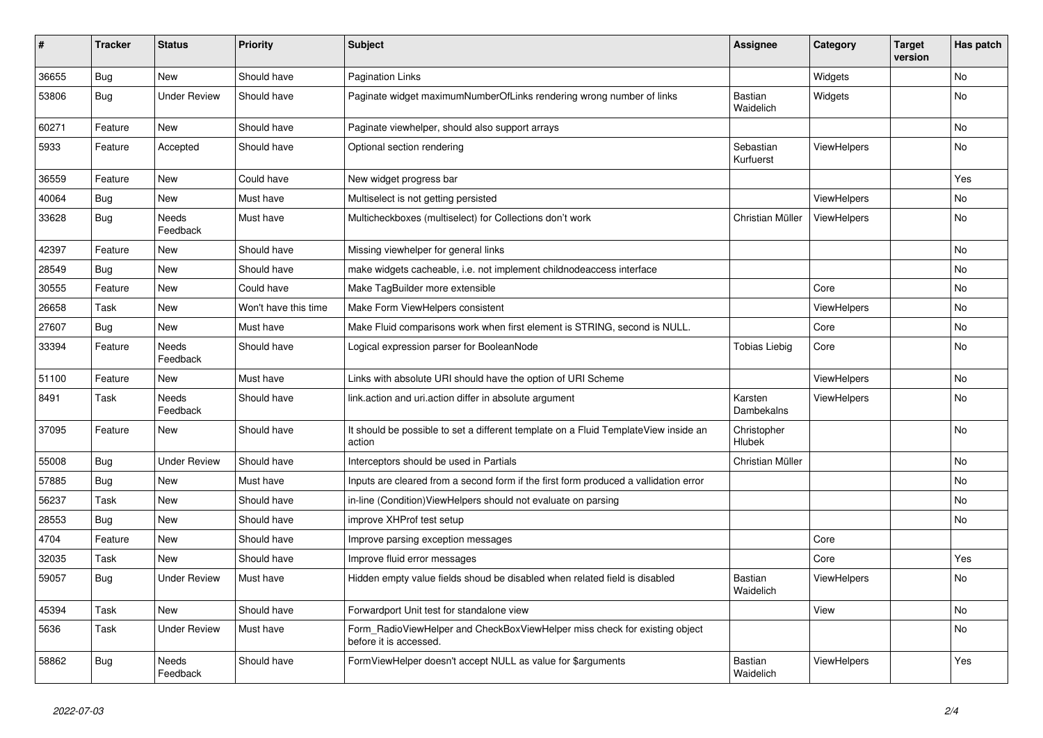| #     | <b>Tracker</b> | <b>Status</b>            | <b>Priority</b>      | <b>Subject</b>                                                                                       | Assignee                    | Category           | Target<br>version | Has patch |
|-------|----------------|--------------------------|----------------------|------------------------------------------------------------------------------------------------------|-----------------------------|--------------------|-------------------|-----------|
| 36655 | <b>Bug</b>     | <b>New</b>               | Should have          | <b>Pagination Links</b>                                                                              |                             | Widgets            |                   | No        |
| 53806 | Bug            | <b>Under Review</b>      | Should have          | Paginate widget maximumNumberOfLinks rendering wrong number of links                                 | Bastian<br>Waidelich        | Widgets            |                   | No        |
| 60271 | Feature        | <b>New</b>               | Should have          | Paginate viewhelper, should also support arrays                                                      |                             |                    |                   | <b>No</b> |
| 5933  | Feature        | Accepted                 | Should have          | Optional section rendering                                                                           | Sebastian<br>Kurfuerst      | <b>ViewHelpers</b> |                   | <b>No</b> |
| 36559 | Feature        | <b>New</b>               | Could have           | New widget progress bar                                                                              |                             |                    |                   | Yes       |
| 40064 | <b>Bug</b>     | <b>New</b>               | Must have            | Multiselect is not getting persisted                                                                 |                             | ViewHelpers        |                   | <b>No</b> |
| 33628 | <b>Bug</b>     | Needs<br>Feedback        | Must have            | Multicheckboxes (multiselect) for Collections don't work                                             | Christian Müller            | ViewHelpers        |                   | <b>No</b> |
| 42397 | Feature        | <b>New</b>               | Should have          | Missing viewhelper for general links                                                                 |                             |                    |                   | <b>No</b> |
| 28549 | Bug            | <b>New</b>               | Should have          | make widgets cacheable, i.e. not implement childnodeaccess interface                                 |                             |                    |                   | <b>No</b> |
| 30555 | Feature        | <b>New</b>               | Could have           | Make TagBuilder more extensible                                                                      |                             | Core               |                   | <b>No</b> |
| 26658 | Task           | <b>New</b>               | Won't have this time | Make Form ViewHelpers consistent                                                                     |                             | ViewHelpers        |                   | <b>No</b> |
| 27607 | Bug            | New                      | Must have            | Make Fluid comparisons work when first element is STRING, second is NULL.                            |                             | Core               |                   | No        |
| 33394 | Feature        | Needs<br>Feedback        | Should have          | Logical expression parser for BooleanNode                                                            | <b>Tobias Liebig</b>        | Core               |                   | No        |
| 51100 | Feature        | New                      | Must have            | Links with absolute URI should have the option of URI Scheme                                         |                             | ViewHelpers        |                   | <b>No</b> |
| 8491  | Task           | <b>Needs</b><br>Feedback | Should have          | link.action and uri.action differ in absolute argument                                               | Karsten<br>Dambekalns       | <b>ViewHelpers</b> |                   | <b>No</b> |
| 37095 | Feature        | New                      | Should have          | It should be possible to set a different template on a Fluid TemplateView inside an<br>action        | Christopher<br>Hlubek       |                    |                   | <b>No</b> |
| 55008 | Bug            | <b>Under Review</b>      | Should have          | Interceptors should be used in Partials                                                              | Christian Müller            |                    |                   | No        |
| 57885 | <b>Bug</b>     | <b>New</b>               | Must have            | Inputs are cleared from a second form if the first form produced a vallidation error                 |                             |                    |                   | <b>No</b> |
| 56237 | Task           | <b>New</b>               | Should have          | in-line (Condition) View Helpers should not evaluate on parsing                                      |                             |                    |                   | No        |
| 28553 | Bug            | <b>New</b>               | Should have          | improve XHProf test setup                                                                            |                             |                    |                   | No        |
| 4704  | Feature        | <b>New</b>               | Should have          | Improve parsing exception messages                                                                   |                             | Core               |                   |           |
| 32035 | Task           | <b>New</b>               | Should have          | Improve fluid error messages                                                                         |                             | Core               |                   | Yes       |
| 59057 | Bug            | <b>Under Review</b>      | Must have            | Hidden empty value fields shoud be disabled when related field is disabled                           | Bastian<br>Waidelich        | <b>ViewHelpers</b> |                   | No        |
| 45394 | Task           | <b>New</b>               | Should have          | Forwardport Unit test for standalone view                                                            |                             | View               |                   | No        |
| 5636  | Task           | <b>Under Review</b>      | Must have            | Form RadioViewHelper and CheckBoxViewHelper miss check for existing object<br>before it is accessed. |                             |                    |                   | <b>No</b> |
| 58862 | Bug            | <b>Needs</b><br>Feedback | Should have          | FormViewHelper doesn't accept NULL as value for \$arguments                                          | <b>Bastian</b><br>Waidelich | ViewHelpers        |                   | Yes       |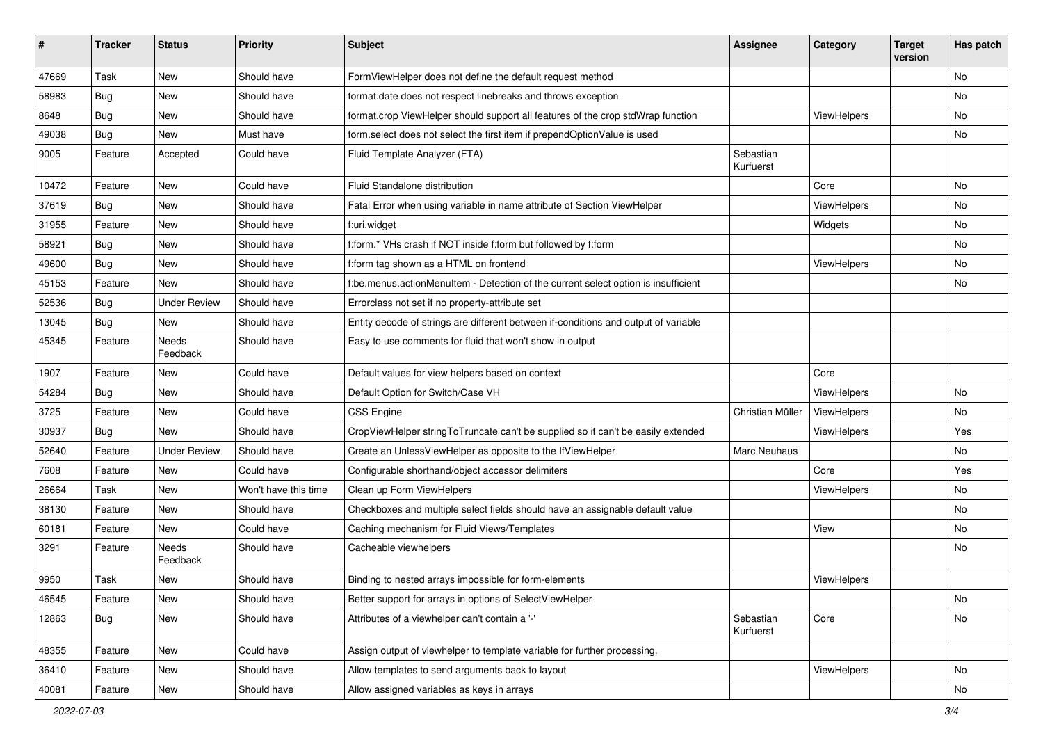| ∦     | <b>Tracker</b> | <b>Status</b>       | <b>Priority</b>      | <b>Subject</b>                                                                      | <b>Assignee</b>        | Category    | <b>Target</b><br>version | Has patch |
|-------|----------------|---------------------|----------------------|-------------------------------------------------------------------------------------|------------------------|-------------|--------------------------|-----------|
| 47669 | Task           | New                 | Should have          | FormViewHelper does not define the default request method                           |                        |             |                          | No        |
| 58983 | Bug            | New                 | Should have          | format.date does not respect linebreaks and throws exception                        |                        |             |                          | No        |
| 8648  | Bug            | New                 | Should have          | format.crop ViewHelper should support all features of the crop stdWrap function     |                        | ViewHelpers |                          | No        |
| 49038 | Bug            | <b>New</b>          | Must have            | form.select does not select the first item if prependOptionValue is used            |                        |             |                          | No        |
| 9005  | Feature        | Accepted            | Could have           | Fluid Template Analyzer (FTA)                                                       | Sebastian<br>Kurfuerst |             |                          |           |
| 10472 | Feature        | New                 | Could have           | Fluid Standalone distribution                                                       |                        | Core        |                          | No        |
| 37619 | Bug            | New                 | Should have          | Fatal Error when using variable in name attribute of Section ViewHelper             |                        | ViewHelpers |                          | No        |
| 31955 | Feature        | New                 | Should have          | f:uri.widget                                                                        |                        | Widgets     |                          | No        |
| 58921 | Bug            | New                 | Should have          | f:form.* VHs crash if NOT inside f:form but followed by f:form                      |                        |             |                          | No        |
| 49600 | Bug            | <b>New</b>          | Should have          | f:form tag shown as a HTML on frontend                                              |                        | ViewHelpers |                          | No.       |
| 45153 | Feature        | New                 | Should have          | f:be.menus.actionMenuItem - Detection of the current select option is insufficient  |                        |             |                          | No        |
| 52536 | Bug            | <b>Under Review</b> | Should have          | Errorclass not set if no property-attribute set                                     |                        |             |                          |           |
| 13045 | Bug            | New                 | Should have          | Entity decode of strings are different between if-conditions and output of variable |                        |             |                          |           |
| 45345 | Feature        | Needs<br>Feedback   | Should have          | Easy to use comments for fluid that won't show in output                            |                        |             |                          |           |
| 1907  | Feature        | New                 | Could have           | Default values for view helpers based on context                                    |                        | Core        |                          |           |
| 54284 | <b>Bug</b>     | New                 | Should have          | Default Option for Switch/Case VH                                                   |                        | ViewHelpers |                          | No        |
| 3725  | Feature        | <b>New</b>          | Could have           | <b>CSS Engine</b>                                                                   | Christian Müller       | ViewHelpers |                          | No.       |
| 30937 | Bug            | New                 | Should have          | CropViewHelper stringToTruncate can't be supplied so it can't be easily extended    |                        | ViewHelpers |                          | Yes       |
| 52640 | Feature        | <b>Under Review</b> | Should have          | Create an UnlessViewHelper as opposite to the IfViewHelper                          | <b>Marc Neuhaus</b>    |             |                          | No.       |
| 7608  | Feature        | New                 | Could have           | Configurable shorthand/object accessor delimiters                                   |                        | Core        |                          | Yes       |
| 26664 | Task           | New                 | Won't have this time | Clean up Form ViewHelpers                                                           |                        | ViewHelpers |                          | No.       |
| 38130 | Feature        | New                 | Should have          | Checkboxes and multiple select fields should have an assignable default value       |                        |             |                          | No        |
| 60181 | Feature        | New                 | Could have           | Caching mechanism for Fluid Views/Templates                                         |                        | View        |                          | No        |
| 3291  | Feature        | Needs<br>Feedback   | Should have          | Cacheable viewhelpers                                                               |                        |             |                          | No        |
| 9950  | Task           | New                 | Should have          | Binding to nested arrays impossible for form-elements                               |                        | ViewHelpers |                          |           |
| 46545 | Feature        | New                 | Should have          | Better support for arrays in options of SelectViewHelper                            |                        |             |                          | No        |
| 12863 | Bug            | New                 | Should have          | Attributes of a viewhelper can't contain a '-'                                      | Sebastian<br>Kurfuerst | Core        |                          | No        |
| 48355 | Feature        | New                 | Could have           | Assign output of viewhelper to template variable for further processing.            |                        |             |                          |           |
| 36410 | Feature        | New                 | Should have          | Allow templates to send arguments back to layout                                    |                        | ViewHelpers |                          | No        |
| 40081 | Feature        | New                 | Should have          | Allow assigned variables as keys in arrays                                          |                        |             |                          | No        |